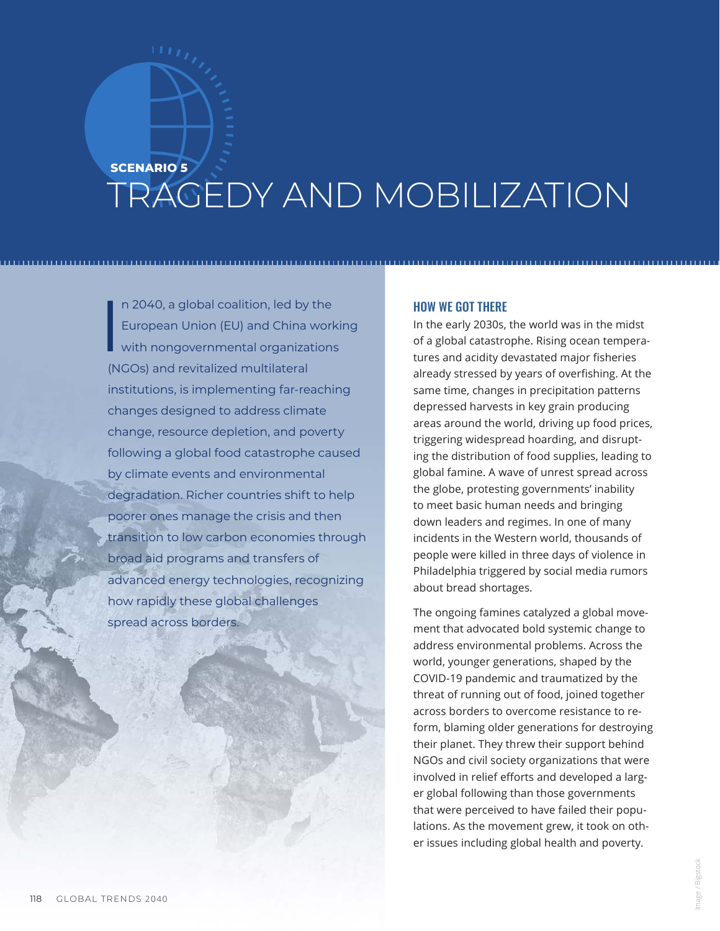## **SCENARIO 5** TRAGEDY AND MOBILIZATION

I n 2040, a global coalition, led by the European Union (EU) and China working with nongovernmental organizations (NGOs) and revitalized multilateral institutions, is implementing far-reaching changes designed to address climate change, resource depletion, and poverty following a global food catastrophe caused by climate events and environmental degradation. Richer countries shift to help poorer ones manage the crisis and then transition to low carbon economies through broad aid programs and transfers of advanced energy technologies, recognizing how rapidly these global challenges spread across borders.

## HOW WE GOT THERE

In the early 2030s, the world was in the midst of a global catastrophe. Rising ocean temperatures and acidity devastated major fisheries already stressed by years of overfishing. At the same time, changes in precipitation patterns depressed harvests in key grain producing areas around the world, driving up food prices, triggering widespread hoarding, and disrupting the distribution of food supplies, leading to global famine. A wave of unrest spread across the globe, protesting governments' inability to meet basic human needs and bringing down leaders and regimes. In one of many incidents in the Western world, thousands of people were killed in three days of violence in Philadelphia triggered by social media rumors about bread shortages.

The ongoing famines catalyzed a global movement that advocated bold systemic change to address environmental problems. Across the world, younger generations, shaped by the COVID-19 pandemic and traumatized by the threat of running out of food, joined together across borders to overcome resistance to reform, blaming older generations for destroying their planet. They threw their support behind NGOs and civil society organizations that were involved in relief efforts and developed a larger global following than those governments that were perceived to have failed their populations. As the movement grew, it took on other issues including global health and poverty.